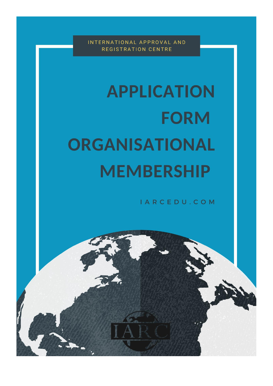INTERNATIONAL APPROVAL AND REGISTRATION CENTRE

# **APPLICATION FORM ORGANISATIONAL MEMBERSHIP**

IARCEDU.COM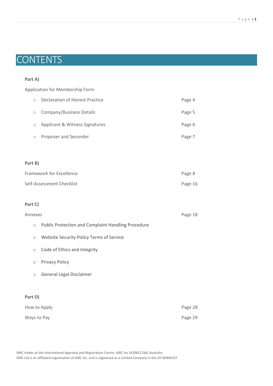#### P a g e | **1**

# **CONTENTS**

## **Part A)**

Application for Membership Form

| $\bigcirc$ | Declaration of Honest Practice | Page 4 |
|------------|--------------------------------|--------|
| $\circ$    | Company/Business Details       | Page 5 |
| $\circ$    | Applicant & Witness Signatures | Page 6 |
| $\circ$    | Proposer and Seconder          | Page 7 |

# **Part B)**

| Framework for Excellence  | Page 8  |
|---------------------------|---------|
| Self-Assessment Checklist | Page 16 |

# **Part C)**

| Annexes             |                                                           |  |  |  |  |  |
|---------------------|-----------------------------------------------------------|--|--|--|--|--|
| $\circlearrowright$ | <b>Public Protection and Complaint Handling Procedure</b> |  |  |  |  |  |
| $\circ$             | Website Security Policy Terms of Service                  |  |  |  |  |  |
| $\circ$             | Code of Ethics and Integrity                              |  |  |  |  |  |
| $\circ$             | <b>Privacy Policy</b>                                     |  |  |  |  |  |
| $\circ$             | General Legal Disclaimer                                  |  |  |  |  |  |
|                     |                                                           |  |  |  |  |  |
| Part D)             |                                                           |  |  |  |  |  |
| How to Apply        |                                                           |  |  |  |  |  |

Ways to Pay **Page 29**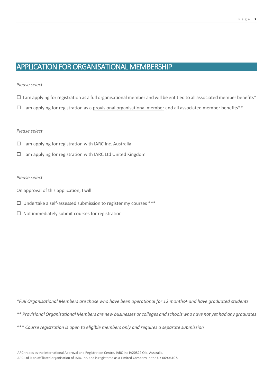# APPLICATION FOR ORGANISATIONAL MEMBERSHIP

## *Please select*

- $\Box$  I am applying for registration as a full organisational member and will be entitled to all associated member benefits\*
- $\Box$  I am applying for registration as a provisional organisational member and all associated member benefits\*\*

## *Please select*

- $\square$  I am applying for registration with IARC Inc. Australia
- $\square$  I am applying for registration with IARC Ltd United Kingdom

### *Please select*

- On approval of this application, I will:
- $\square$  Undertake a self-assessed submission to register my courses \*\*\*
- $\square$  Not immediately submit courses for registration

*\*Full Organisational Members are those who have been operational for 12 months+ and have graduated students* 

*\*\* Provisional Organisational Members are new businesses or colleges and schools who have not yet had any graduates* 

*\*\*\* Course registration is open to eligible members only and requires a separate submission*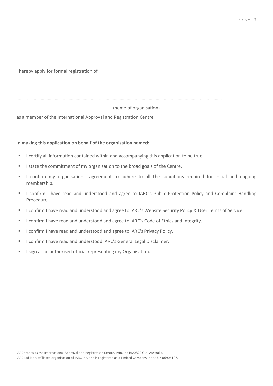P a g e | **3**

I hereby apply for formal registration of

……………………………………………………………………………………………………………………………………………………………

## (name of organisation)

as a member of the International Approval and Registration Centre.

## **In making this application on behalf of the organisation named:**

- I certify all information contained within and accompanying this application to be true.
- I state the commitment of my organisation to the broad goals of the Centre.
- I confirm my organisation's agreement to adhere to all the conditions required for initial and ongoing membership.
- I confirm I have read and understood and agree to IARC's Public Protection Policy and Complaint Handling Procedure.
- I confirm I have read and understood and agree to IARC's Website Security Policy & User Terms of Service.
- I confirm I have read and understood and agree to IARC's Code of Ethics and Integrity.
- I confirm I have read and understood and agree to IARC's Privacy Policy.
- **E** I confirm I have read and understood IARC's General Legal Disclaimer.
- **E** I sign as an authorised official representing my Organisation.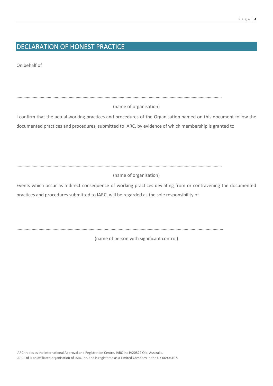# DECLARATION OF HONEST PRACTICE

On behalf of

……………………………………………………………………………………………………………………………………………………………

(name of organisation)

I confirm that the actual working practices and procedures of the Organisation named on this document follow the documented practices and procedures, submitted to IARC, by evidence of which membership is granted to

……………………………………………………………………………………………………………………………………………………………

(name of organisation)

Events which occur as a direct consequence of working practices deviating from or contravening the documented practices and procedures submitted to IARC, will be regarded as the sole responsibility of

……….……………………………………………………………………………………………………………………………………………………

(name of person with significant control)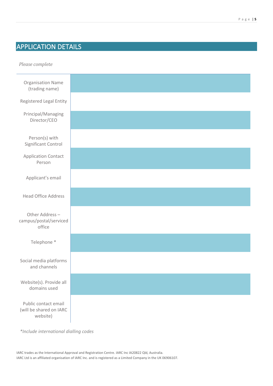# APPLICATION DETAILS

*Please complete* Organisation Name (trading name) Registered Legal Entity Principal/Managing Director/CEO Person(s) with Significant Control Application Contact Person Applicant's email Head Office Address Other Address – campus/postal/serviced office Telephone \* Social media platforms and channels Website(s). Provide all domains used Public contact email (will be shared on IARC website)

 *\*Include international dialling codes*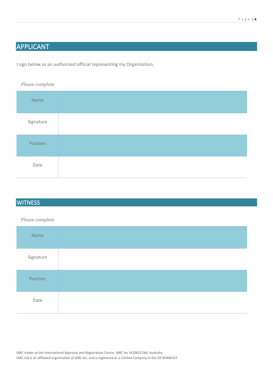# APPLICANT

I sign below as an authorised official representing my Organisation.

*Please complete*

| Name      |  |
|-----------|--|
| Signature |  |
| Position  |  |
| Date      |  |

# **WITNESS**

# *Please complete*

| Name      |  |
|-----------|--|
| Signature |  |
| Position  |  |
| Date      |  |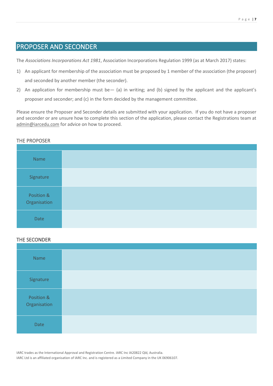# PROPOSER AND SECONDER

The *Associations Incorporations Act 1981*, Association Incorporations Regulation 1999 (as at March 2017) states:

- 1) An applicant for membership of the association must be proposed by 1 member of the association (the proposer) and seconded by another member (the seconder).
- 2) An application for membership must be— (a) in writing; and (b) signed by the applicant and the applicant's proposer and seconder; and (c) in the form decided by the management committee.

Please ensure the Proposer and Seconder details are submitted with your application. If you do not have a proposer and seconder or are unsure how to complete this section of the application, please contact the Registrations team at [admin@iarcedu.com](mailto:admin@iarcedu.com) for advice on how to proceed.

# THE PROPOSER

| Name                       |  |
|----------------------------|--|
| Signature                  |  |
| Position &<br>Organisation |  |
| Date                       |  |

# THE SECONDER

| Name                       |  |
|----------------------------|--|
| Signature                  |  |
| Position &<br>Organisation |  |
| Date                       |  |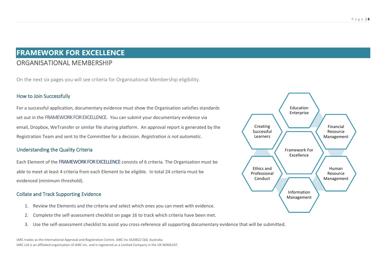# **FRAMEWORK FOR EXCELLENCE**  ORGANISATIONAL MEMBERSHIP

On the next six pages you will see criteria for Organisational Membership eligibility.

# How to Join Successfully

For a successful application, documentary evidence must show the Organisation satisfies standards set out in the FRAMEWORK FOR EXCELLENCE. You can submit your documentary evidence via email, Dropbox, WeTransfer or similar file sharing platform. An approval report is generated by the Registration Team and sent to the Committee for a decision. *Registration is not automatic.*

# Understanding the Quality Criteria

Each Element of the FRAMEWORK FOR EXCELLENCE consists of 6 criteria. The Organisation must be able to meet at least 4 criteria from each Element to be eligible. In total 24 criteria must be evidenced (minimum threshold).

# Collate and Track Supporting Evidence

- 1. Review the Elements and the criteria and select which ones you can meet with evidence.
- 2. Complete the self-assessment checklist on page 16 to track which criteria have been met.
- 3. Use the self-assessment checklist to assist you cross-reference all supporting documentary evidence that will be submitted.

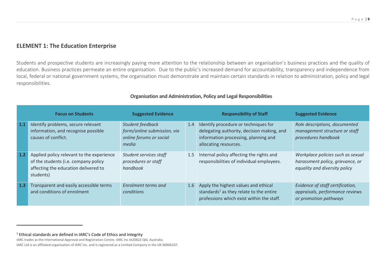# **ELEMENT 1: The Education Enterprise**

Students and prospective students are increasingly paying more attention to the relationship between an organisation's business practices and the quality of education. Business practices permeate an entire organisation. Due to the public's increased demand for accountability, transparency and independence from local, federal or national government systems, the organisation must demonstrate and maintain certain standards in relation to administration, policy and legal responsibilities.

|     | <b>Focus on Students</b>                                                                                                               | <b>Suggested Evidence</b>                                                           |     | <b>Responsibility of Staff</b>                                                                                                                      | <b>Suggested Evidence</b>                                                                              |
|-----|----------------------------------------------------------------------------------------------------------------------------------------|-------------------------------------------------------------------------------------|-----|-----------------------------------------------------------------------------------------------------------------------------------------------------|--------------------------------------------------------------------------------------------------------|
| 1.1 | Identify problems, secure relevant<br>information, and recognise possible<br>causes of conflict.                                       | Student feedback<br>form/online submission, via<br>online forums or social<br>media | 1.4 | Identify procedure or techniques for<br>delegating authority, decision making, and<br>information processing, planning and<br>allocating resources. | Role descriptions, documented<br>management structure or staff<br>procedures handbook                  |
| 1.2 | Applied policy relevant to the experience<br>of the students (i.e. company policy<br>affecting the education delivered to<br>students) | Student services staff<br>procedures or staff<br>handbook                           | 1.5 | Internal policy affecting the rights and<br>responsibilities of individual employees.                                                               | Workplace policies such as sexual<br>harassment policy, grievance, or<br>equality and diversity policy |
| 1.3 | Transparent and easily accessible terms<br>and conditions of enrolment                                                                 | Enrolment terms and<br>conditions                                                   | 1.6 | Apply the highest values and ethical<br>standards <sup>1</sup> as they relate to the entire<br>professions which exist within the staff.            | Evidence of staff certification,<br>appraisals, performance reviews<br>or promotion pathways           |

# **Organisation and Administration, Policy and Legal Responsibilities**

 $1$  Ethical standards are defined in IARC's Code of Ethics and Integrity

IARC trades as the International Approval and Registration Centre. IARC Inc IA20822 Qld, Australia.

IARC Ltd is an affiliated organisation of IARC Inc. and is registered as a Limited Company in the UK 06906107.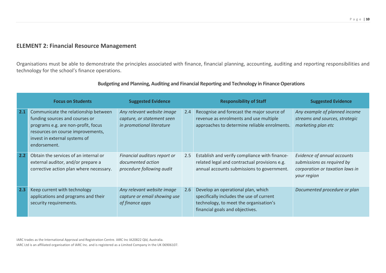# **ELEMENT 2: Financial Resource Management**

Organisations must be able to demonstrate the principles associated with finance, financial planning, accounting, auditing and reporting responsibilities and technology for the school's finance operations.

|     | <b>Focus on Students</b>                                                                                                                                                                            | <b>Suggested Evidence</b>                                                             |     | <b>Responsibility of Staff</b>                                                                                                                              | <b>Suggested Evidence</b>                                                                                   |
|-----|-----------------------------------------------------------------------------------------------------------------------------------------------------------------------------------------------------|---------------------------------------------------------------------------------------|-----|-------------------------------------------------------------------------------------------------------------------------------------------------------------|-------------------------------------------------------------------------------------------------------------|
| 2.1 | Communicate the relationship between<br>funding sources and courses or<br>programs e.g. are non-profit, focus<br>resources on course improvements,<br>invest in external systems of<br>endorsement. | Any relevant website image<br>capture, or statement seen<br>in promotional literature | 2.4 | Recognise and forecast the major source of<br>revenue as enrolments and use multiple<br>approaches to determine reliable enrolments.                        | Any example of planned income<br>streams and sources, strategic<br>marketing plan etc                       |
| 2.2 | Obtain the services of an internal or<br>external auditor, and/or prepare a<br>corrective action plan where necessary.                                                                              | Financial auditors report or<br>documented action<br>procedure following audit        | 2.5 | Establish and verify compliance with finance-<br>related legal and contractual provisions e.g.<br>annual accounts submissions to government.                | Evidence of annual accounts<br>submissions as required by<br>corporation or taxation laws in<br>your region |
| 2.3 | Keep current with technology<br>applications and programs and their<br>security requirements.                                                                                                       | Any relevant website image<br>capture or email showing use<br>of finance apps         | 2.6 | Develop an operational plan, which<br>specifically includes the use of current<br>technology, to meet the organisation's<br>financial goals and objectives. | Documented procedure or plan                                                                                |

# **Budgeting and Planning, Auditing and Financial Reporting and Technology in Finance Operations**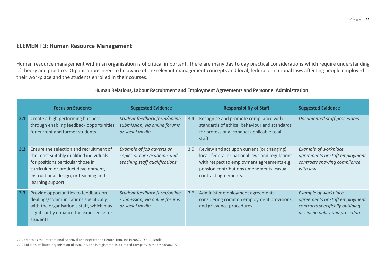# **ELEMENT 3: Human Resource Management**

Human resource management within an organisation is of critical important. There are many day to day practical considerations which require understanding of theory and practice. Organisations need to be aware of the relevant management concepts and local, federal or national laws affecting people employed in their workplace and the students enrolled in their courses.

|     | <b>Focus on Students</b>                                                                                                                                                                                                    | <b>Suggested Evidence</b>                                                                 |     | <b>Responsibility of Staff</b>                                                                                                                                                                                 | <b>Suggested Evidence</b>                                                                                                            |
|-----|-----------------------------------------------------------------------------------------------------------------------------------------------------------------------------------------------------------------------------|-------------------------------------------------------------------------------------------|-----|----------------------------------------------------------------------------------------------------------------------------------------------------------------------------------------------------------------|--------------------------------------------------------------------------------------------------------------------------------------|
| 3.1 | Create a high performing business<br>through enabling feedback opportunities<br>for current and former students                                                                                                             | Student feedback form/online<br>submission, via online forums<br>or social media          | 3.4 | Recognise and promote compliance with<br>standards of ethical behaviour and standards<br>for professional conduct applicable to all<br>staff.                                                                  | Documented staff procedures                                                                                                          |
| 3.2 | Ensure the selection and recruitment of<br>the most suitably qualified individuals<br>for positions particular those in<br>curriculum or product development,<br>instructional design, or teaching and<br>learning support. | Example of job adverts or<br>copies or core academic and<br>teaching staff qualifications | 3.5 | Review and act upon current (or changing)<br>local, federal or national laws and regulations<br>with respect to employment agreements e.g.<br>pension contributions amendments, casual<br>contract agreements. | <b>Example of workplace</b><br>agreements or staff employment<br>contracts showing compliance<br>with law                            |
| 3.3 | Provide opportunities to feedback on<br>dealings/communications specifically<br>with the organisation's staff, which may<br>significantly enhance the experience for<br>students.                                           | Student feedback form/online<br>submission, via online forums<br>or social media          | 3.6 | Administer employment agreements<br>considering common employment provisions,<br>and grievance procedures.                                                                                                     | <b>Example of workplace</b><br>agreements or staff employment<br>contracts specifically outlining<br>discipline policy and procedure |

## **Human Relations, Labour Recruitment and Employment Agreements and Personnel Administration**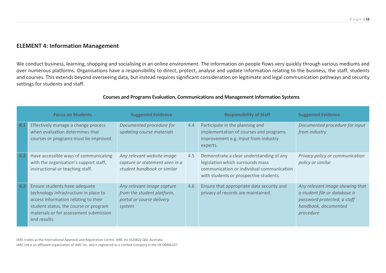# **ELEMENT 4: Information Management**

We conduct business, learning, shopping and socialising in an online environment. The information on people flows very quickly through various mediums and over numerous platforms. Organisations have a responsibility to direct, protect, analyse and update information relating to the business, the staff, students and courses. This extends beyond overseeing data, but instead requires significant consideration on legitimate and legal communication pathways and security settings for students and staff.

|     | <b>Focus on Students</b>                                                                                                                                                                                          | <b>Suggested Evidence</b>                                                                       |     | <b>Responsibility of Staff</b>                                                                                                                                      | <b>Suggested Evidence</b>                                                                                                            |
|-----|-------------------------------------------------------------------------------------------------------------------------------------------------------------------------------------------------------------------|-------------------------------------------------------------------------------------------------|-----|---------------------------------------------------------------------------------------------------------------------------------------------------------------------|--------------------------------------------------------------------------------------------------------------------------------------|
| 4.1 | Effectively manage a change process<br>when evaluation determines that<br>courses or programs must be improved.                                                                                                   | Documented procedure for<br>updating course materials                                           | 4.4 | Participate in the planning and<br>implementation of courses and programs<br>improvement e.g. input from industry<br>experts.                                       | Documented procedure for input<br>from industry                                                                                      |
| 4.2 | Have accessible ways of communicating<br>with the organisation's support staff,<br>instructional or teaching staff.                                                                                               | Any relevant website image<br>capture or statement seen in a<br>student handbook or similar     | 4.5 | Demonstrate a clear understanding of any<br>legislation which surrounds mass<br>communication or individual communication<br>with students or prospective students. | Privacy policy or communication<br>policy or similar                                                                                 |
| 4.3 | Ensure students have adequate<br>technology infrastructure in place to<br>access information relating to their<br>student status, the course or program<br>materials or for assessment submission<br>and results. | Any relevant image capture<br>from the student platform,<br>portal or course delivery<br>system | 4.6 | Ensure that appropriate data security and<br>privacy of records are maintained.                                                                                     | Any relevant image showing that<br>a student file or database is<br>password protected, a staff<br>handbook, documented<br>procedure |

# **Courses and Programs Evaluation, Communications and Management Information Systems**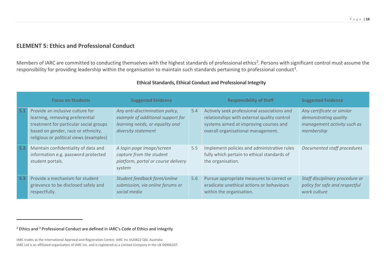# **ELEMENT 5: Ethics and Professional Conduct**

Members of IARC are committed to conducting themselves with the highest standards of professional ethics<sup>2</sup>. Persons with significant control must assume the responsibility for providing leadership within the organisation to maintain such standards pertaining to professional conduct<sup>3</sup>.

|     | <b>Focus on Students</b>                                                                                                                                                                        | <b>Suggested Evidence</b>                                                                                                      |     | <b>Responsibility of Staff</b>                                                                                                                                             | <b>Suggested Evidence</b>                                                                        |
|-----|-------------------------------------------------------------------------------------------------------------------------------------------------------------------------------------------------|--------------------------------------------------------------------------------------------------------------------------------|-----|----------------------------------------------------------------------------------------------------------------------------------------------------------------------------|--------------------------------------------------------------------------------------------------|
| 5.1 | Provide an inclusive culture for<br>learning, removing preferential<br>treatment for particular social groups<br>based on gender, race or ethnicity,<br>religious or political views (examples) | Any anti-discrimination policy,<br>example of additional support for<br>learning needs, or equality and<br>diversity statement | 5.4 | Actively seek professional associations and<br>relationships with external quality control<br>systems aimed at improving courses and<br>overall organisational management. | Any certificate or similar<br>demonstrating quality<br>management activity such as<br>membership |
| 5.2 | Maintain confidentiality of data and<br>information e.g. password protected<br>student portals.                                                                                                 | A login page image/screen<br>capture from the student<br>platform, portal or course delivery<br>system                         | 5.5 | Implement policies and administrative rules<br>fully which pertain to ethical standards of<br>the organisation.                                                            | Documented staff procedures                                                                      |
| 5.3 | Provide a mechanism for student<br>grievance to be disclosed safely and<br>respectfully.                                                                                                        | Student feedback form/online<br>submission, via online forums or<br>social media                                               | 5.6 | Pursue appropriate measures to correct or<br>eradicate unethical actions or behaviours<br>within the organisation.                                                         | Staff disciplinary procedure or<br>policy for safe and respectful<br>work culture                |

# **Ethical Standards, Ethical Conduct and Professional Integrity**

 $2$  Ethics and  $3$  Professional Conduct are defined in IARC's Code of Ethics and Integrity

IARC trades as the International Approval and Registration Centre. IARC Inc IA20822 Qld, Australia. IARC Ltd is an affiliated organisation of IARC Inc. and is registered as a Limited Company in the UK 06906107.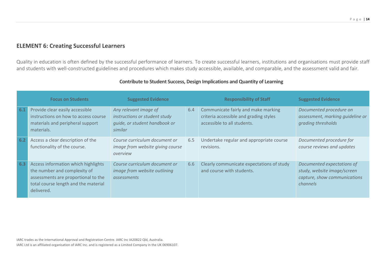# **ELEMENT 6: Creating Successful Learners**

Quality in education is often defined by the successful performance of learners. To create successful learners, institutions and organisations must provide staff and students with well-constructed guidelines and procedures which makes study accessible, available, and comparable, and the assessment valid and fair.

|     | <b>Focus on Students</b>                                                                                                                                         | <b>Suggested Evidence</b>                                                                          |     | <b>Responsibility of Staff</b>                                                                               | <b>Suggested Evidence</b>                                                                             |
|-----|------------------------------------------------------------------------------------------------------------------------------------------------------------------|----------------------------------------------------------------------------------------------------|-----|--------------------------------------------------------------------------------------------------------------|-------------------------------------------------------------------------------------------------------|
| 6.1 | Provide clear easily accessible<br>instructions on how to access course<br>materials and peripheral support<br>materials.                                        | Any relevant image of<br>instructions or student study<br>quide, or student handbook or<br>similar | 6.4 | Communicate fairly and make marking<br>criteria accessible and grading styles<br>accessible to all students. | Documented procedure on<br>assessment, marking quideline or<br>grading thresholds                     |
| 6.2 | Access a clear description of the<br>functionality of the course.                                                                                                | Course curriculum document or<br>image from website giving course<br>overview                      | 6.5 | Undertake regular and appropriate course<br>revisions.                                                       | Documented procedure for<br>course reviews and updates                                                |
| 6.3 | Access information which highlights<br>the number and complexity of<br>assessments are proportional to the<br>total course length and the material<br>delivered. | Course curriculum document or<br>image from website outlining<br>assessments                       | 6.6 | Clearly communicate expectations of study<br>and course with students.                                       | Documented expectations of<br>study, website image/screen<br>capture, show communications<br>channels |

# **Contribute to Student Success, Design Implications and Quantity of Learning**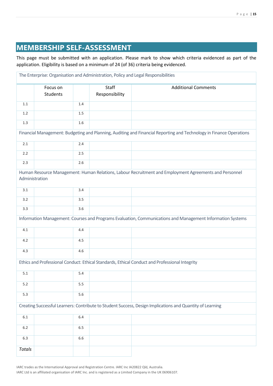# **MEMBERSHIP SELF-ASSESSMENT**

This page must be submitted with an application. Please mark to show which criteria evidenced as part of the application. Eligibility is based on a minimum of 24 (of 36) criteria being evidenced.

|                                                                                                                          |                             |     |                         | The Enterprise: Organisation and Administration, Policy and Legal Responsibilities                                  |  |  |  |
|--------------------------------------------------------------------------------------------------------------------------|-----------------------------|-----|-------------------------|---------------------------------------------------------------------------------------------------------------------|--|--|--|
|                                                                                                                          | Focus on<br><b>Students</b> |     | Staff<br>Responsibility | <b>Additional Comments</b>                                                                                          |  |  |  |
| 1.1                                                                                                                      |                             | 1.4 |                         |                                                                                                                     |  |  |  |
| $1.2\,$                                                                                                                  |                             | 1.5 |                         |                                                                                                                     |  |  |  |
| 1.3                                                                                                                      |                             | 1.6 |                         |                                                                                                                     |  |  |  |
|                                                                                                                          |                             |     |                         | Financial Management: Budgeting and Planning, Auditing and Financial Reporting and Technology in Finance Operations |  |  |  |
| 2.1                                                                                                                      |                             | 2.4 |                         |                                                                                                                     |  |  |  |
| 2.2                                                                                                                      |                             | 2.5 |                         |                                                                                                                     |  |  |  |
| 2.3                                                                                                                      |                             | 2.6 |                         |                                                                                                                     |  |  |  |
| Human Resource Management: Human Relations, Labour Recruitment and Employment Agreements and Personnel<br>Administration |                             |     |                         |                                                                                                                     |  |  |  |
| 3.1                                                                                                                      |                             | 3.4 |                         |                                                                                                                     |  |  |  |
| 3.2                                                                                                                      |                             | 3.5 |                         |                                                                                                                     |  |  |  |
| 3.3                                                                                                                      |                             | 3.6 |                         |                                                                                                                     |  |  |  |
|                                                                                                                          |                             |     |                         | Information Management: Courses and Programs Evaluation, Communications and Management Information Systems          |  |  |  |
| 4.1                                                                                                                      |                             | 4.4 |                         |                                                                                                                     |  |  |  |
| 4.2                                                                                                                      |                             | 4.5 |                         |                                                                                                                     |  |  |  |
| 4.3                                                                                                                      |                             | 4.6 |                         |                                                                                                                     |  |  |  |
| Ethics and Professional Conduct: Ethical Standards, Ethical Conduct and Professional Integrity                           |                             |     |                         |                                                                                                                     |  |  |  |
| 5.1                                                                                                                      |                             | 5.4 |                         |                                                                                                                     |  |  |  |
| $5.2$                                                                                                                    |                             | 5.5 |                         |                                                                                                                     |  |  |  |
| 5.3                                                                                                                      |                             | 5.6 |                         |                                                                                                                     |  |  |  |
| Creating Successful Learners: Contribute to Student Success, Design Implications and Quantity of Learning                |                             |     |                         |                                                                                                                     |  |  |  |
| $6.1\,$                                                                                                                  |                             | 6.4 |                         |                                                                                                                     |  |  |  |
| $6.2\,$                                                                                                                  |                             | 6.5 |                         |                                                                                                                     |  |  |  |
| $6.3\,$                                                                                                                  |                             | 6.6 |                         |                                                                                                                     |  |  |  |
| <b>Totals</b>                                                                                                            |                             |     |                         |                                                                                                                     |  |  |  |

IARC trades as the International Approval and Registration Centre. IARC Inc IA20822 Qld, Australia.

IARC Ltd is an affiliated organisation of IARC Inc. and is registered as a Limited Company in the UK 06906107.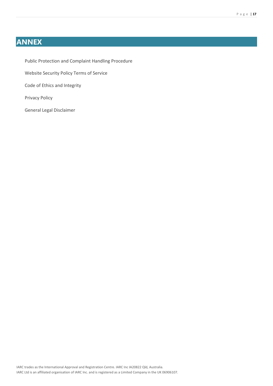# **ANNEX**

Public Protection and Complaint Handling Procedure Website Security Policy Terms of Service Code of Ethics and Integrity Privacy Policy

General Legal Disclaimer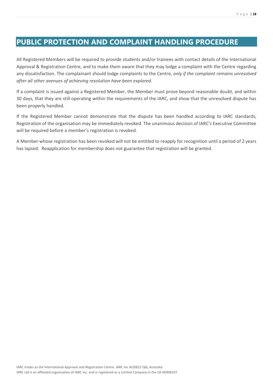# **PUBLIC PROTECTION AND COMPLAINT HANDLING PROCEDURE**

All Registered Members will be required to provide students and/or trainees with contact details of the International Approval & Registration Centre, and to make them aware that they may lodge a complaint with the Centre regarding any dissatisfaction. The complainant should lodge complaints to the Centre, *only if the complaint remains unresolved after all other avenues of achieving resolution have been explored.*

If a complaint is issued against a Registered Member, the Member must prove beyond reasonable doubt, and within 30 days, that they are still operating within the requirements of the IARC, and show that the unresolved dispute has been properly handled.

If the Registered Member cannot demonstrate that the dispute has been handled according to IARC standards, Registration of the organisation may be immediately revoked. The unanimous decision of IARC's Executive Committee will be required before a member's registration is revoked.

A Member whose registration has been revoked will not be entitled to reapply for recognition until a period of 2 years has lapsed. Reapplication for membership does not guarantee that registration will be granted.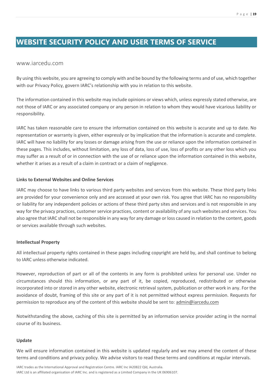# **WEBSITE SECURITY POLICY AND USER TERMS OF SERVICE**

## www.iarcedu.com

By using this website, you are agreeing to comply with and be bound by the following terms and of use, which together with our Privacy Policy, govern IARC's relationship with you in relation to this website.

The information contained in this website may include opinions or views which, unless expressly stated otherwise, are not those of IARC or any associated company or any person in relation to whom they would have vicarious liability or responsibility.

IARC has taken reasonable care to ensure the information contained on this website is accurate and up to date. No representation or warranty is given, either expressly or by implication that the information is accurate and complete. IARC will have no liability for any losses or damage arising from the use or reliance upon the information contained in these pages. This includes, without limitation, any loss of data, loss of use, loss of profits or any other loss which you may suffer as a result of or in connection with the use of or reliance upon the information contained in this website, whether it arises as a result of a claim in contract or a claim of negligence.

## **Links to External Websites and Online Services**

IARC may choose to have links to various third party websites and services from this website. These third party links are provided for your convenience only and are accessed at your own risk. You agree that IARC has no responsibility or liability for any independent policies or actions of these third party sites and services and is not responsible in any way for the privacy practices, customer service practices, content or availability of any such websites and services. You also agree that IARC shall not be responsible in any way for any damage or loss caused in relation to the content, goods or services available through such websites.

## **Intellectual Property**

All intellectual property rights contained in these pages including copyright are held by, and shall continue to belong to IARC unless otherwise indicated.

However, reproduction of part or all of the contents in any form is prohibited unless for personal use. Under no circumstances should this information, or any part of it, be copied, reproduced, redistributed or otherwise incorporated into or stored in any other website, electronic retrieval system, publication or other work in any. For the avoidance of doubt, framing of this site or any part of it is not permitted without express permission. Requests for permission to reproduce any of the content of this website should be sent to: [admin@iarcedu.com](mailto:admin@iarcedu.com)

Notwithstanding the above, caching of this site is permitted by an information service provider acting in the normal course of its business.

#### **Update**

We will ensure information contained in this website is updated regularly and we may amend the content of these terms and conditions and privacy policy. We advise visitors to read these terms and conditions at regular intervals.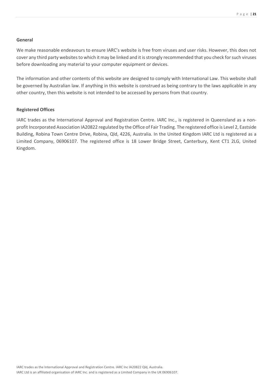#### **General**

We make reasonable endeavours to ensure IARC's website is free from viruses and user risks. However, this does not cover any third party websites to which it may be linked and it is strongly recommended that you check for such viruses before downloading any material to your computer equipment or devices.

The information and other contents of this website are designed to comply with International Law. This website shall be governed by Australian law. If anything in this website is construed as being contrary to the laws applicable in any other country, then this website is not intended to be accessed by persons from that country.

#### **Registered Offices**

IARC trades as the International Approval and Registration Centre. IARC Inc., is registered in Queensland as a nonprofit Incorporated Association IA20822 regulated by the Office of Fair Trading. The registered office is Level 2, Eastside Building, Robina Town Centre Drive, Robina, Qld, 4226, Australia. In the United Kingdom IARC Ltd is registered as a Limited Company, 06906107. The registered office is 18 Lower Bridge Street, Canterbury, Kent CT1 2LG, United Kingdom.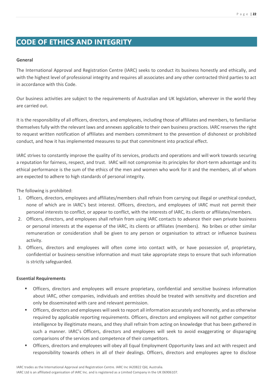# **CODE OF ETHICS AND INTEGRITY**

## **General**

The International Approval and Registration Centre (IARC) seeks to conduct its business honestly and ethically, and with the highest level of professional integrity and requires all associates and any other contracted third parties to act in accordance with this Code.

Our business activities are subject to the requirements of Australian and UK legislation, wherever in the world they are carried out.

It is the responsibility of all officers, directors, and employees, including those of affiliates and members, to familiarise themselves fully with the relevant laws and annexes applicable to their own business practices. IARC reserves the right to request written notification of affiliates and members commitment to the prevention of dishonest or prohibited conduct, and how it has implemented measures to put that commitment into practical effect.

IARC strives to constantly improve the quality of its services, products and operations and will work towards securing a reputation for fairness, respect, and trust. IARC will not compromise its principles for short-term advantage and its ethical performance is the sum of the ethics of the men and women who work for it and the members, all of whom are expected to adhere to high standards of personal integrity.

The following is prohibited:

- 1. Officers, directors, employees and affiliates/members shall refrain from carrying out illegal or unethical conduct, none of which are in IARC's best interest. Officers, directors, and employees of IARC must not permit their personal interests to conflict, or appear to conflict, with the interests of IARC, its clients or affiliates/members.
- 2. Officers, directors, and employees shall refrain from using IARC contacts to advance their own private business or personal interests at the expense of the IARC, its clients or affiliates (members). No bribes or other similar remuneration or consideration shall be given to any person or organisation to attract or influence business activity.
- 3. Officers, directors and employees will often come into contact with, or have possession of, proprietary, confidential or business-sensitive information and must take appropriate steps to ensure that such information is strictly safeguarded.

#### **Essential Requirements**

- Officers, directors and employees will ensure proprietary, confidential and sensitive business information about IARC, other companies, individuals and entities should be treated with sensitivity and discretion and only be disseminated with care and relevant permission.
- Officers, directors and employees will seek to report all information accurately and honestly, and as otherwise required by applicable reporting requirements. Officers, directors and employees will not gather competitor intelligence by illegitimate means, and they shall refrain from acting on knowledge that has been gathered in such a manner. IARC's Officers, directors and employees will seek to avoid exaggerating or disparaging comparisons of the services and competence of their competitors.
- Officers, directors and employees will obey all Equal Employment Opportunity laws and act with respect and responsibility towards others in all of their dealings. Officers, directors and employees agree to disclose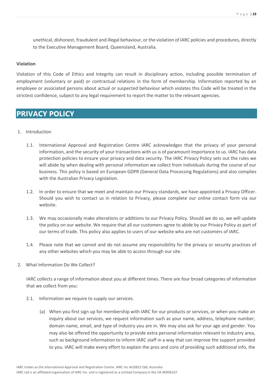unethical, dishonest, fraudulent and illegal behaviour, or the violation of IARC policies and procedures, directly to the Executive Management Board, Queensland, Australia.

## **Violation**

Violation of this Code of Ethics and Integrity can result in disciplinary action, including possible termination of employment (voluntary or paid) or contractual relations in the form of membership. Information reported by an employee or associated persons about actual or suspected behaviour which violates this Code will be treated in the strictest confidence, subject to any legal requirement to report the matter to the relevant agencies.

# **PRIVACY POLICY**

- 1. Introduction
	- 1.1. International Approval and Registration Centre IARC acknowledges that the privacy of your personal information, and the security of your transactions with us is of paramount importance to us. IARC has data protection policies to ensure your privacy and data security. The IARC Privacy Policy sets out the rules we will abide by when dealing with personal information we collect from individuals during the course of our business. This policy is based on European GDPR (General Data Processing Regulations) and also complies with the Australian Privacy Legislation.
	- 1.2. In order to ensure that we meet and maintain our Privacy standards, we have appointed a Privacy Officer. Should you wish to contact us in relation to Privacy, please complete our online contact form via our website.
	- 1.3. We may occasionally make alterations or additions to our Privacy Policy. Should we do so, we will update the policy on our website. We require that all our customers agree to abide by our Privacy Policy as part of our terms of trade. This policy also applies to users of our website who are not customers of IARC.
	- 1.4. Please note that we cannot and do not assume any responsibility for the privacy or security practices of any other websites which you may be able to access through our site.
- 2. What Information Do We Collect?

IARC collects a range of information about you at different times. There are four broad categories of information that we collect from you:

- 2.1. Information we require to supply our services.
	- (a) When you first sign up for membership with IARC for our products or services, or when you make an inquiry about our services, we request information such as your name, address, telephone number, domain name, email, and type of industry you are in. We may also ask for your age and gender. You may also be offered the opportunity to provide extra personal information relevant to industry area, such as background information to inform IARC staff in a way that can improve the support provided to you. IARC will make every effort to explain the pros and cons of providing such additional info, the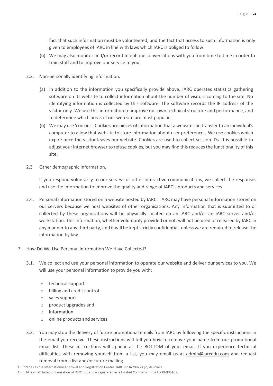fact that such information must be volunteered, and the fact that access to such information is only given to employees of IARC in line with laws which IARC is obliged to follow.

- (b) We may also monitor and/or record telephone conversations with you from time to time in order to train staff and to improve our service to you.
- 2.2. Non-personally identifying information.
	- (a) In addition to the information you specifically provide above, IARC operates statistics gathering software on its website to collect information about the number of visitors coming to the site. No identifying information is collected by this software. The software records the IP address of the visitor only. We use this information to improve our own technical structure and performance, and to determine which areas of our web site are most popular.
	- (b) We may use 'cookies'. Cookies are pieces of information that a website can transfer to an individual's computer to allow that website to store information about user preferences. We use cookies which expire once the visitor leaves our website. Cookies are used to collect session IDs. It is possible to adjust your internet browser to refuse cookies, but you may find this reduces the functionality of this site.
- 2.3 Other demographic information.

If you respond voluntarily to our surveys or other interactive communications, we collect the responses and use the information to improve the quality and range of IARC's products and services.

- 2.4. Personal information stored on a website hosted by IARC. IARC may have personal information stored on our servers because we host websites of other organisations. Any information that is submitted to or collected by these organisations will be physically located on an IARC and/or an IARC server and/or workstation. This information, whether voluntarily provided or not, will not be used or released by IARC in any manner to any third party, and it will be kept strictly confidential, unless we are required to release the information by law.
- 3. How Do We Use Personal Information We Have Collected?
	- 3.1. We collect and use your personal information to operate our website and deliver our services to you. We will use your personal information to provide you with:
		- o technical support
		- o billing and credit control
		- o sales support
		- o product upgrades and
		- o information
		- o online products and services
	- 3.2. You may stop the delivery of future promotional emails from IARC by following the specific instructions in the email you receive. These instructions will tell you how to remove your name from our promotional email list. These instructions will appear at the BOTTOM of your email. If you experience technical difficulties with removing yourself from a list, you may email us at [admin@iarcedu.com](mailto:admin@iarcedu.com) and request removal from a list and/or future mailing.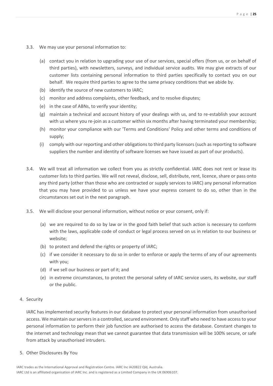- 3.3. We may use your personal information to:
	- (a) contact you in relation to upgrading your use of our services, special offers (from us, or on behalf of third parties), with newsletters, surveys, and individual service audits. We may give extracts of our customer lists containing personal information to third parties specifically to contact you on our behalf. We require third parties to agree to the same privacy conditions that we abide by.
	- (b) identify the source of new customers to IARC;
	- (c) monitor and address complaints, other feedback, and to resolve disputes;
	- (e) in the case of ABNs, to verify your identity;
	- (g) maintain a technical and account history of your dealings with us, and to re-establish your account with us where you re-join as a customer within six months after having terminated your membership;
	- (h) monitor your compliance with our 'Terms and Conditions' Policy and other terms and conditions of supply;
	- (i) comply with our reporting and other obligations to third party licensors (such as reporting to software suppliers the number and identity of software licenses we have issued as part of our products).
- 3.4. We will treat all information we collect from you as strictly confidential. IARC does not rent or lease its customer lists to third parties. We will not reveal, disclose, sell, distribute, rent, licence, share or pass onto any third party (other than those who are contracted or supply services to IARC) any personal information that you may have provided to us unless we have your express consent to do so, other than in the circumstances set out in the next paragraph.
- 3.5. We will disclose your personal information, without notice or your consent, only if:
	- (a) we are required to do so by law or in the good faith belief that such action is necessary to conform with the laws, applicable code of conduct or legal process served on us in relation to our business or website;
	- (b) to protect and defend the rights or property of IARC;
	- (c) if we consider it necessary to do so in order to enforce or apply the terms of any of our agreements with you;
	- (d) if we sell our business or part of it; and
	- (e) in extreme circumstances, to protect the personal safety of IARC service users, its website, our staff or the public.

#### 4. Security

IARC has implemented security features in our database to protect your personal information from unauthorised access. We maintain our servers in a controlled, secured environment. Only staff who need to have access to your personal information to perform their job function are authorised to access the database. Constant changes to the internet and technology mean that we cannot guarantee that data transmission will be 100% secure, or safe from attack by unauthorised intruders.

5. Other Disclosures By You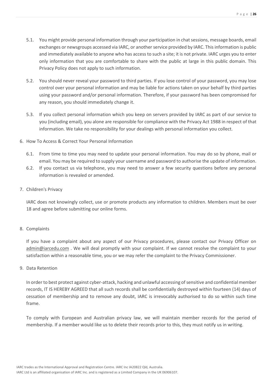- 5.1. You might provide personal information through your participation in chat sessions, message boards, email exchanges or newsgroups accessed via IARC, or another service provided by IARC. This information is public and immediately available to anyone who has access to such a site; it is not private. IARC urges you to enter only information that you are comfortable to share with the public at large in this public domain. This Privacy Policy does not apply to such information.
- 5.2. You should never reveal your password to third parties. If you lose control of your password, you may lose control over your personal information and may be liable for actions taken on your behalf by third parties using your password and/or personal information. Therefore, if your password has been compromised for any reason, you should immediately change it.
- 5.3. If you collect personal information which you keep on servers provided by IARC as part of our service to you (including email), you alone are responsible for compliance with the Privacy Act 1988 in respect of that information. We take no responsibility for your dealings with personal information you collect.
- 6. How To Access & Correct Your Personal Information
	- 6.1. From time to time you may need to update your personal information. You may do so by phone, mail or email. You may be required to supply your username and password to authorise the update of information.
	- 6.2. If you contact us via telephone, you may need to answer a few security questions before any personal information is revealed or amended.
- 7. Children's Privacy

IARC does not knowingly collect, use or promote products any information to children. Members must be over 18 and agree before submitting our online forms.

## 8. Complaints

If you have a complaint about any aspect of our Privacy procedures, please contact our Privacy Officer on [admin@iarcedu.com](mailto:admin@iarcedu.com) . We will deal promptly with your complaint. If we cannot resolve the complaint to your satisfaction within a reasonable time, you or we may refer the complaint to the Privacy Commissioner.

9. Data Retention

In order to best protect against cyber-attack, hacking and unlawful accessing of sensitive and confidential member records, IT IS HEREBY AGREED that all such records shall be confidentially destroyed within fourteen (14) days of cessation of membership and to remove any doubt, IARC is irrevocably authorised to do so within such time frame.

To comply with European and Australian privacy law, we will maintain member records for the period of membership. If a member would like us to delete their records prior to this, they must notify us in writing.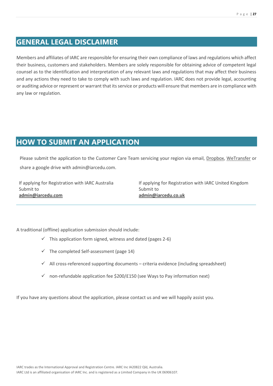# **GENERAL LEGAL DISCLAIMER**

Members and affiliates of IARC are responsible for ensuring their own compliance of laws and regulations which affect their business, customers and stakeholders. Members are solely responsible for obtaining advice of competent legal counsel as to the identification and interpretation of any relevant laws and regulations that may affect their business and any actions they need to take to comply with such laws and regulation. IARC does not provide legal, accounting or auditing advice or represent or warrant that its service or products will ensure that members are in compliance with any law or regulation.

# **HOW TO SUBMIT AN APPLICATION**

Please submit the application to the Customer Care Team servicing your region via email, [Dropbox,](https://www.dropbox.com/) [WeTransfer](https://wetransfer.com/) or share a google drive with admin@iarcedu.com.

If applying for Registration with IARC Australia Submit to **[admin@iarcedu.com](mailto:admin@iarcedu.com)**

If applying for Registration with IARC United Kingdom Submit to **[admin@iarcedu.co.uk](mailto:admin@iarcedu.co.uk)**

A traditional (offline) application submission should include:

- $\checkmark$  This application form signed, witness and dated (pages 2-6)
- $\checkmark$  The completed Self-assessment (page 14)
- $\checkmark$  All cross-referenced supporting documents criteria evidence (including spreadsheet)
- $\checkmark$  non-refundable application fee \$200/£150 (see Ways to Pay information next)

If you have any questions about the application, please contact us and we will happily assist you.